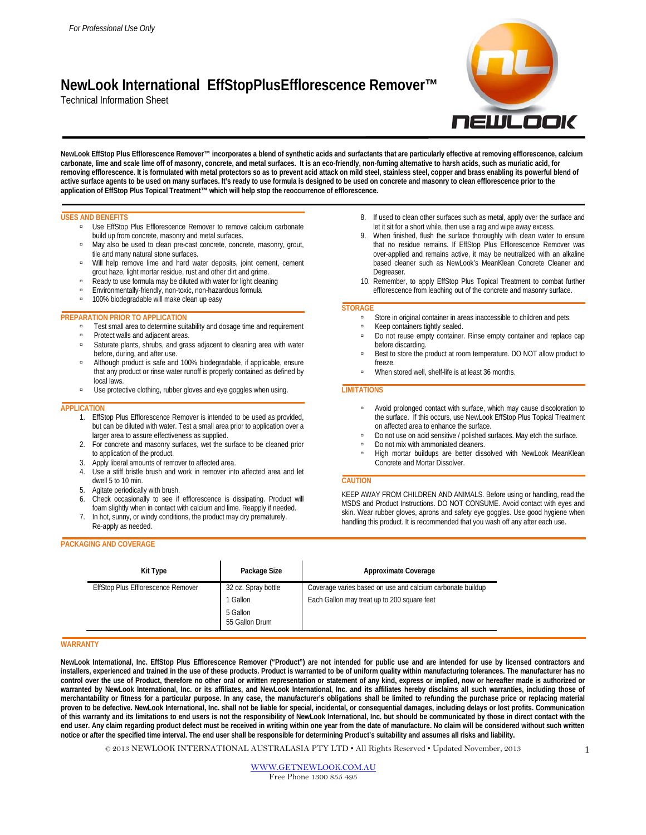# **NewLook International EffStopPlusEfflorescence Remover™**

Technical Information Sheet



**NewLook EffStop Plus Efflorescence Remover™ incorporates a blend of synthetic acids and surfactants that are particularly effective at removing efflorescence, calcium carbonate, lime and scale lime off of masonry, concrete, and metal surfaces. It is an eco-friendly, non-fuming alternative to harsh acids, such as muriatic acid, for removing efflorescence. It is formulated with metal protectors so as to prevent acid attack on mild steel, stainless steel, copper and brass enabling its powerful blend of active surface agents to be used on many surfaces. It's ready to use formula is designed to be used on concrete and masonry to clean efflorescence prior to the application of EffStop Plus Topical Treatment™ which will help stop the reoccurrence of efflorescence.**

## **USES AND BENEFITS**

- **Use EffStop Plus Efflorescence Remover to remove calcium carbonate** build up from concrete, masonry and metal surfaces.
- m May also be used to clean pre-cast concrete, concrete, masonry, grout, tile and many natural stone surfaces.
- u Will help remove lime and hard water deposits, joint cement, cement grout haze, light mortar residue, rust and other dirt and grime.
- Ready to use formula may be diluted with water for light cleaning
- Environmentally-friendly, non-toxic, non-hazardous formula
- <sup>1</sup> 100% biodegradable will make clean up easy

# **PREPARATION PRIOR TO APPLICATION**

- □ Test small area to determine suitability and dosage time and requirement
- **Protect walls and adjacent areas.**
- □ Saturate plants, shrubs, and grass adjacent to cleaning area with water before, during, and after use.
- Although product is safe and 100% biodegradable, if applicable, ensure that any product or rinse water runoff is properly contained as defined by local laws.
- Use protective clothing, rubber gloves and eye goggles when using.

## **APPLICATION**

- 1. EffStop Plus Efflorescence Remover is intended to be used as provided, but can be diluted with water. Test a small area prior to application over a larger area to assure effectiveness as supplied.
- 2. For concrete and masonry surfaces, wet the surface to be cleaned prior to application of the product.
- 3. Apply liberal amounts of remover to affected area.
- 4. Use a stiff bristle brush and work in remover into affected area and let dwell 5 to 10 min.
- 5. Agitate periodically with brush.
- 6. Check occasionally to see if efflorescence is dissipating. Product will foam slightly when in contact with calcium and lime. Reapply if needed.
- 7. In hot, sunny, or windy conditions, the product may dry prematurely. Re-apply as needed.

# **PACKAGING AND COVERAGE**

| 8. If used to clean other surfaces such as metal, apply over the surface and |
|------------------------------------------------------------------------------|
| let it sit for a short while, then use a rag and wipe away excess.           |

- 9. When finished, flush the surface thoroughly with clean water to ensure that no residue remains. If EffStop Plus Efflorescence Remover was over-applied and remains active, it may be neutralized with an alkaline based cleaner such as NewLook's MeanKlean Concrete Cleaner and **Degreaser**
- 10. Remember, to apply EffStop Plus Topical Treatment to combat further efflorescence from leaching out of the concrete and masonry surface.

# **STORAGE**

- Store in original container in areas inaccessible to children and pets.
- **Keep containers tightly sealed.**
- Do not reuse empty container. Rinse empty container and replace cap before discarding.
- Best to store the product at room temperature. DO NOT allow product to freeze.
- When stored well, shelf-life is at least 36 months.

## **LIMITATIONS**

- **EXECUTE:** Avoid prolonged contact with surface, which may cause discoloration to the surface. If this occurs, use NewLook EffStop Plus Topical Treatment on affected area to enhance the surface.
- Do not use on acid sensitive / polished surfaces. May etch the surface.
- Do not mix with ammoniated cleaners.
- High mortar buildups are better dissolved with NewLook MeanKlean Concrete and Mortar Dissolver.

## **CAUTION**

KEEP AWAY FROM CHILDREN AND ANIMALS. Before using or handling, read the MSDS and Product Instructions. DO NOT CONSUME. Avoid contact with eyes and skin. Wear rubber gloves, aprons and safety eye goggles. Use good hygiene when handling this product. It is recommended that you wash off any after each use.

| Kit Type                           | Package Size               | <b>Approximate Coverage</b>                                |
|------------------------------------|----------------------------|------------------------------------------------------------|
| EffStop Plus Efflorescence Remover | 32 oz. Spray bottle        | Coverage varies based on use and calcium carbonate buildup |
|                                    | 1 Gallon                   | Each Gallon may treat up to 200 square feet                |
|                                    | 5 Gallon<br>55 Gallon Drum |                                                            |

## **WARRANTY**

**NewLook International, Inc. EffStop Plus Efflorescence Remover ("Product") are not intended for public use and are intended for use by licensed contractors and installers, experienced and trained in the use of these products. Product is warranted to be of uniform quality within manufacturing tolerances. The manufacturer has no control over the use of Product, therefore no other oral or written representation or statement of any kind, express or implied, now or hereafter made is authorized or warranted by NewLook International, Inc. or its affiliates, and NewLook International, Inc. and its affiliates hereby disclaims all such warranties, including those of merchantability or fitness for a particular purpose. In any case, the manufacturer's obligations shall be limited to refunding the purchase price or replacing material proven to be defective. NewLook International, Inc. shall not be liable for special, incidental, or consequential damages, including delays or lost profits. Communication of this warranty and its limitations to end users is not the responsibility of NewLook International, Inc. but should be communicated by those in direct contact with the end user. Any claim regarding product defect must be received in writing within one year from the date of manufacture. No claim will be considered without such written notice or after the specified time interval. The end user shall be responsible for determining Product's suitability and assumes all risks and liability.** 

© 2013 NEWLOOK INTERNATIONAL AUSTRALASIA PTY LTD • All Rights Reserved • Updated November, 2013

[WWW.GETNEWLOOK.COM.AU](http://www.getnewlook.com.au/) Free Phone 1300 855 495